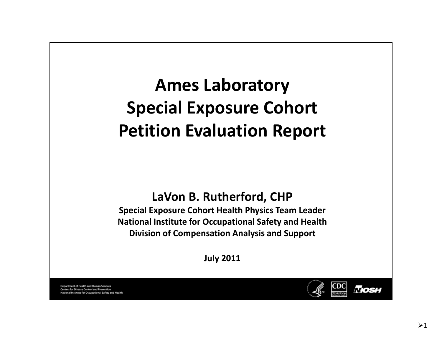# **Ames Laboratory Special Exposure Cohort Petition Evaluation Report**

#### **LaVon B. Rutherford, CHP**

**Special Exposure Cohort Health Physics Team Leader National Institute for Occupational Safety and Health Division of Compensation Analysis and Support**

**J l u y 2011**

Department of Health and Human Services ers for Disease Control and Prevention stitute for Occupational Safety and Health

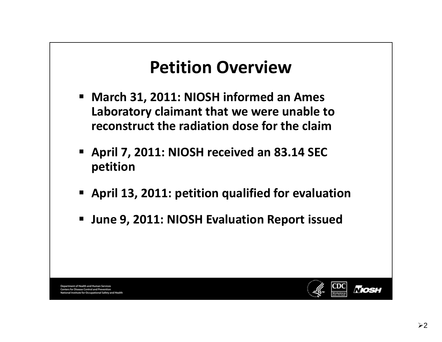#### **Petition Overview**

- **March 31, 2011: NIOSH informed an Ames Laboratory claimant that we were unable to reconstruct the radiation dose for the claim**
- **April 7, 2011: NIOSH received an 83.14 SEC petition**
- **April 13, 2011: petition qualified for evaluation**
- **June 9, 2011: NIOSH Evaluation Report issued**

Department of Health and Human Services rs for Disease Control and Prever te for Occupational Safety and Health

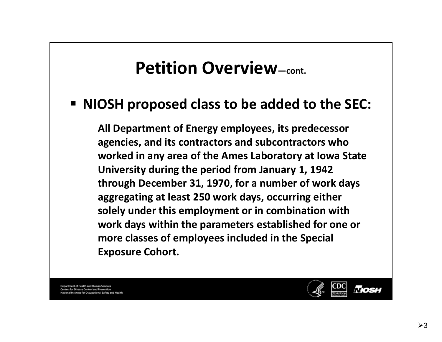#### **Petition Overview—cont.**

#### **NIOSH proposed class to be added to the SEC:**

**All Department of Energy employees employees, its predecessor agencies, and its contractors and subcontractors who worked in any area of the Ames Laboratory at Iowa State University during the period from January 1, 1942 through December 31, 1970, for <sup>a</sup> number of work days aggregating at least 250 work days, occurring either solely under this employment or in combination with work days within the parameters established for one or more classes of employees included in the Special Exposure Cohort.**

**Department of Health and Human Services** rs for Disease Control and Prevention tute for Occupational Safety and Health

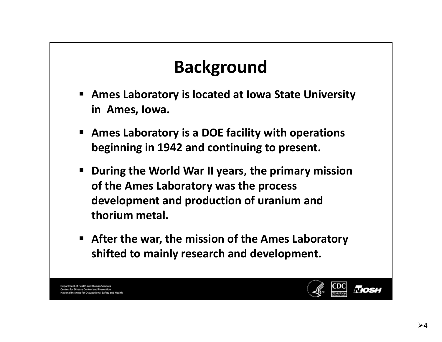## **Background**

- **Ames Laboratory is located at Iowa State University in Ames, Iowa.**
- $\blacksquare$  **Ames Laboratory is <sup>a</sup> DOE facility with operations beginning in 1942 and continuing to present.**
- **During the World War II years, the primary mission of the Ames Laboratory was the process development and production of uranium and thorium metal.**
- **After the war, the mission of the Ames Laboratory shifted to mainly research and development.**

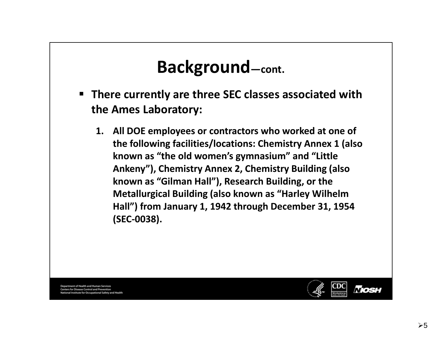- **There currently are three SEC classes associated with the Ames Laboratory:**
	- **1. All DOE employees or contractors who work de at one of the following facilities/locations: Chemistry Annex 1 (also known as "the old women's gymnasium" and "Little Ankeny"), Chemistry Annex 2, Chemistry Building (also known as "Gilman Hall"), Research Building, or the Metallurgical Building (also known as "Harley Wilhelm Hall") from January 1, 1942 through December 31, 1954 (SEC‐0038).**

Department of Health and Human Services ers for Disease Control and Prevention stitute for Occupational Safety and Health

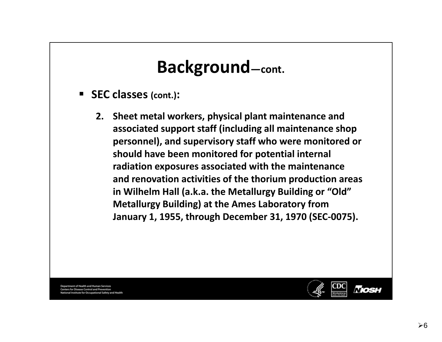- **SEC classes (cont.):**
	- **2. Sheet metal workers, physical plant maintenance and associated support staff (including all maintenance shop personnel), and supervisory staff who were monitored or should have been monitored for potential internal radiation exposures associated with the maintenance and renovation activities of the thorium production areas in Wilhelm Hall (a.k.a. the Metallurgy Building or "Old" Metallurgy Building) at the Ames Laboratory from January 1, 1955, through December 31, 1970 (SEC‐0075).**

**Department of Health and Human Services** rs for Disease Control and Prevention tute for Occupational Safety and Health

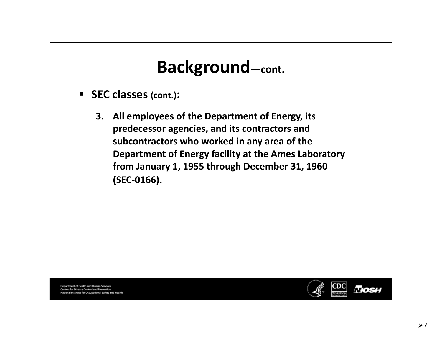- **SEC classes (cont.):**
	- **3. All employees of the Department of Energy, its predecessor agencies agencies, and its contractors and subcontractors who worked in any area of the Department of Energy facility at the Ames Laboratory from January 1, 1955 through December 31, 1960 (SEC‐0166).**

Department of Health and Human Services ers for Disease Control and Prevention Institute for Occupational Safety and Health

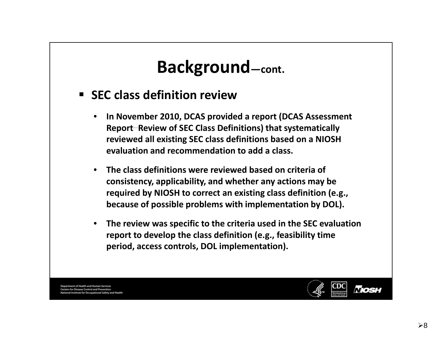- **SEC class definition review**
	- **– Report–Review of SEC Class Definitions) that systematically** • **In November 2010, DCAS provided <sup>a</sup> report (DCAS Assessment reviewed all existing SEC class definitions based on <sup>a</sup> NIOSH evaluation and recommendation to add <sup>a</sup> class.**
	- • **The class definitions were reviewed based on criteria of consistency, applicability, and whether any actions may be required by NIOSH to correct an existing class definition (e.g., because of possible problems with implementation by DOL).**
	- • **The review was specific to the criteria used in the SEC evaluation report to develop the class definition (e.g., feasibility time period, access controls, DOL implementation).**

Department of Health and Human Services ers for Disease Control and Prevention titute for Occupational Safety and Health

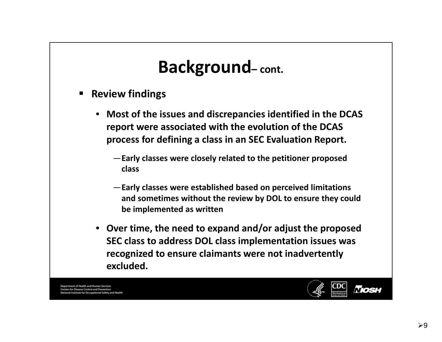- $\blacksquare$  **Review findings**
	- **Most of the issues and discrepancies identified in the DCAS report were associated with the evolution of the DCAS process for defining <sup>a</sup> class in an SEC Evaluation Report.**
		- —**Early classes were closely related to the petitioner proposed class**
		- —**Early classes were established based on perceived limitations and sometimes without the review by DOL to ensure they could be implemented as written**
	- **Over time, the need to expand and/or adjust the proposed SEC class to address DOL class implementation issues was recognized to ensure claimants were not inadvertently excluded.**

Department of Health and Human Services rs for Disease Control and Prevention itute for Occupational Safety and Health

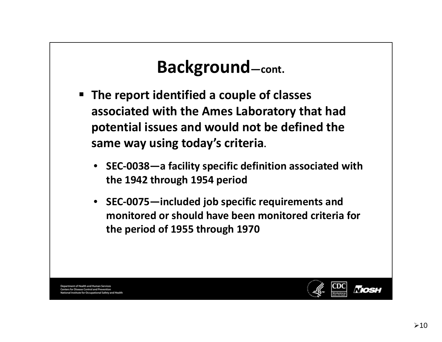- **The report identified <sup>a</sup> couple of classes associated with the Ames Laboratory that had potential issues and would not be defined the same way using today's criteria.**
	- **SEC‐0038—a facility specific definition associated with the 1942 through 1954 period**
	- **SEC‐0075—included job specific requirements and monitored or should have been monitored criteria for the period of 1955 through 1970**

Department of Health and Human Services rs for Disease Control and Prevent ute for Occupational Safety and Health

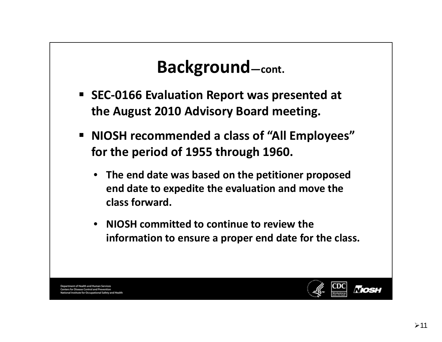- **SEC‐0166 Evaluation Report was presented at the August 2010 Advisory Board meeting.**
- **NIOSH recommended <sup>a</sup> class of "All Employees" for the period of 1955 through 1960.**
	- **The end date was based on the petitioner proposed end date to expedite the evaluation and move the class forward.**
	- **NIOSH committed to continue to review the information to ensure <sup>a</sup> proper end date for the class.**

Department of Health and Human Services rs for Disease Control and Prevent ute for Occupational Safety and Health

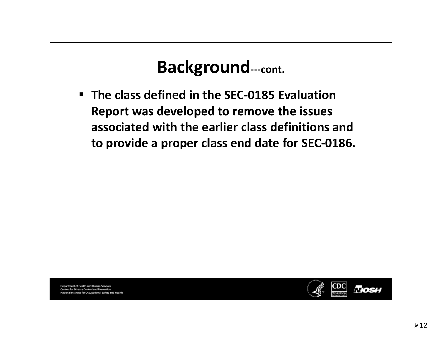#### **Background‐‐‐cont.**

 **The class defined in the SEC‐0185 Evaluation Report was developed to remove the issues associated with the earlier class definitions and to provide <sup>a</sup> proper class end date for SEC‐0186.**

Department of Health and Human Services ers for Disease Control and Prevention institute for Occupational Safety and Health

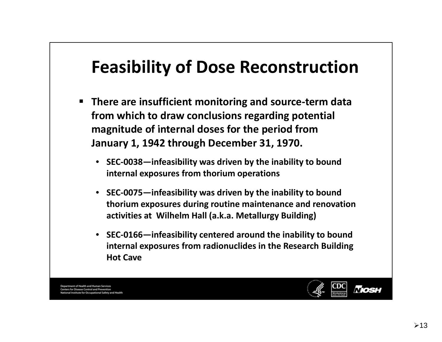#### **Feasibility of Dose Reconstruction**

- $\blacksquare$  **There are insufficient monitoring and source‐term data from which to draw conclusions regarding potential magnitude of internal doses for the period from January 1, 1942 through December 31, 1970.**
	- **SEC‐0038—infeasibility was driven by the inability to bound it l n ernalexposures from th i or um operations**
	- $\bullet$  **SEC‐0075—infeasibility was driven by the inability to bound thorium exposures during routine maintenance and renovation activities at Wilhelm H ll <sup>a</sup> ( k a. .a. M <sup>t</sup> <sup>e</sup> allurgy Building)**
	- **SEC‐0166—infeasibility centered around the inability to bound internal exposures from radionuclides in the Research Building Hot Cave**

Department of Health and Human Services rs for Disease Control and Prevention tute for Occupational Safety and Health

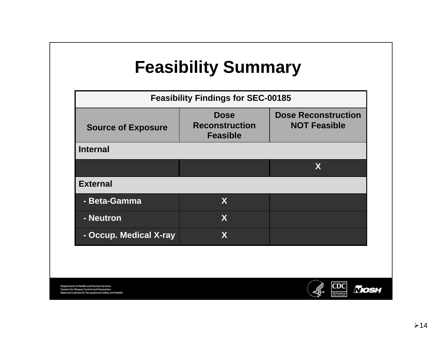# **Feasibility Summary**

| <b>Feasibility Findings for SEC-00185</b> |                                                         |                                                   |  |
|-------------------------------------------|---------------------------------------------------------|---------------------------------------------------|--|
| <b>Source of Exposure</b>                 | <b>Dose</b><br><b>Reconstruction</b><br><b>Feasible</b> | <b>Dose Reconstruction</b><br><b>NOT Feasible</b> |  |
| <b>Internal</b>                           |                                                         |                                                   |  |
|                                           |                                                         | X                                                 |  |
| <b>External</b>                           |                                                         |                                                   |  |
| - Beta-Gamma                              | X                                                       |                                                   |  |
| - Neutron                                 | X                                                       |                                                   |  |
| - Occup. Medical X-ray                    | χ                                                       |                                                   |  |

Department of Health and Human Services<br>Centers for Disease Control and Prevention<br>National Institute for Occupational Safety and Health

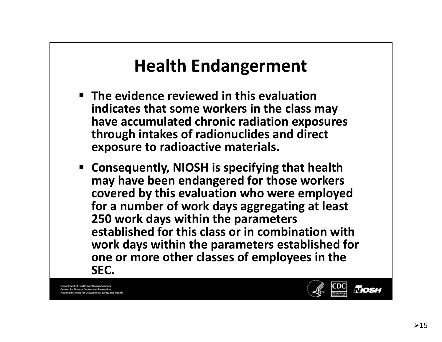#### **Health Endangerment**

- **The evidence reviewed in this evaluation indicates that some workers in the class may have accumulated chronic radiation exposures through intakes of radionuclides and direct exposure to radioactive materials.**
- **Consequently, NIOSH is specifying that health may have been endangered for those workers covered by this evaluation who were employed for a number of work days aggregating at least 250 work days within the parameters established for this class or in combination with work days within the parameters established for one or more other classes classesof employees in the SEC.**

**Department of Health and Human Services** rs for Disease Control and Prevention nstitute for Occupational Safety and Health

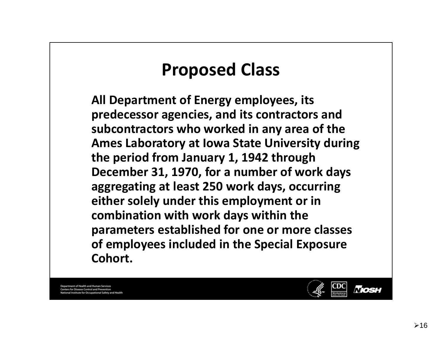#### **Proposed Class**

**All Department of Energy employees, its predecessor agencies, and its contractors and subcontractors who worked in any area of the Ames Laboratory at Iowa State University during the period from January 1, 1942 through December 31, 1970, for <sup>a</sup> number of work days aggregating at least 250 work days, occurring either solely under this employment or in combination with work days within the parameters established for one or more classes of employees included in the Special Exposure Cohort.**

**Department of Health and Human Services** rs for Disease Control and Prevention titute for Occupational Safety and Health